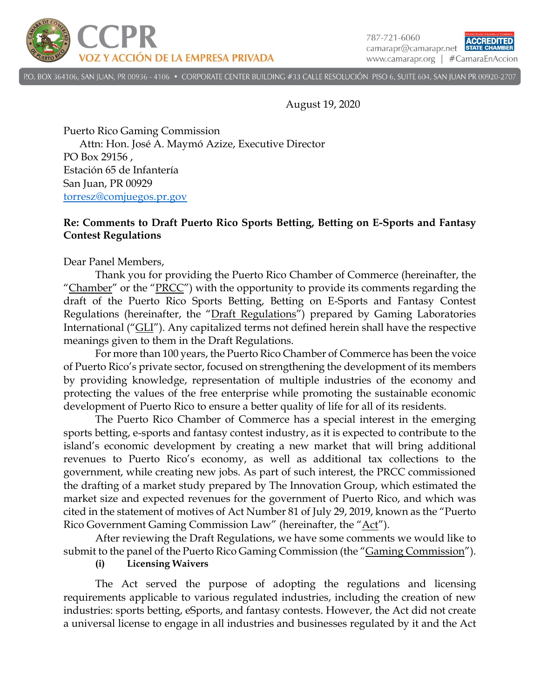

787-721-6060 ACCREDITED camarapr@camarapr.net STATE CHA www.camarapr.org | #CamaraEnAccion

P.O. BOX 364106, SAN JUAN, PR 00936 - 4106 · CORPORATE CENTER BUILDING #33 CALLE RESOLUCIÓN PISO 6, SUITE 604, SAN JUAN PR 00920-2707

August 19, 2020

Puerto Rico Gaming Commission Attn: Hon. José A. Maymó Azize, Executive Director PO Box 29156 , Estación 65 de Infantería San Juan, PR 00929 [torresz@comjuegos.pr.gov](mailto:torresz@comjuegos.pr.gov)

## **Re: Comments to Draft Puerto Rico Sports Betting, Betting on E-Sports and Fantasy Contest Regulations**

Dear Panel Members,

Thank you for providing the Puerto Rico Chamber of Commerce (hereinafter, the "Chamber" or the "PRCC") with the opportunity to provide its comments regarding the draft of the Puerto Rico Sports Betting, Betting on E-Sports and Fantasy Contest Regulations (hereinafter, the "Draft Regulations") prepared by Gaming Laboratories International ("GLI"). Any capitalized terms not defined herein shall have the respective meanings given to them in the Draft Regulations.

For more than 100 years, the Puerto Rico Chamber of Commerce has been the voice of Puerto Rico's private sector, focused on strengthening the development of its members by providing knowledge, representation of multiple industries of the economy and protecting the values of the free enterprise while promoting the sustainable economic development of Puerto Rico to ensure a better quality of life for all of its residents.

The Puerto Rico Chamber of Commerce has a special interest in the emerging sports betting, e-sports and fantasy contest industry, as it is expected to contribute to the island's economic development by creating a new market that will bring additional revenues to Puerto Rico's economy, as well as additional tax collections to the government, while creating new jobs. As part of such interest, the PRCC commissioned the drafting of a market study prepared by The Innovation Group, which estimated the market size and expected revenues for the government of Puerto Rico, and which was cited in the statement of motives of Act Number 81 of July 29, 2019, known as the "Puerto Rico Government Gaming Commission Law" (hereinafter, the "Act").

After reviewing the Draft Regulations, we have some comments we would like to submit to the panel of the Puerto Rico Gaming Commission (the "Gaming Commission").

**(i) Licensing Waivers**

The Act served the purpose of adopting the regulations and licensing requirements applicable to various regulated industries, including the creation of new industries: sports betting, eSports, and fantasy contests. However, the Act did not create a universal license to engage in all industries and businesses regulated by it and the Act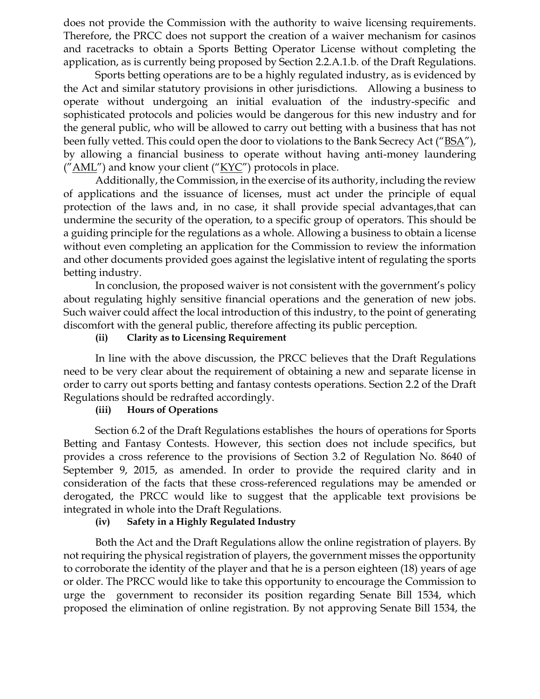does not provide the Commission with the authority to waive licensing requirements. Therefore, the PRCC does not support the creation of a waiver mechanism for casinos and racetracks to obtain a Sports Betting Operator License without completing the application, as is currently being proposed by Section 2.2.A.1.b. of the Draft Regulations.

Sports betting operations are to be a highly regulated industry, as is evidenced by the Act and similar statutory provisions in other jurisdictions. Allowing a business to operate without undergoing an initial evaluation of the industry-specific and sophisticated protocols and policies would be dangerous for this new industry and for the general public, who will be allowed to carry out betting with a business that has not been fully vetted. This could open the door to violations to the Bank Secrecy Act ("BSA"), by allowing a financial business to operate without having anti-money laundering  $(''AML'')$  and know your client  $(''KYC'')$  protocols in place.

Additionally, the Commission, in the exercise of its authority, including the review of applications and the issuance of licenses, must act under the principle of equal protection of the laws and, in no case, it shall provide special advantages,that can undermine the security of the operation, to a specific group of operators. This should be a guiding principle for the regulations as a whole. Allowing a business to obtain a license without even completing an application for the Commission to review the information and other documents provided goes against the legislative intent of regulating the sports betting industry.

In conclusion, the proposed waiver is not consistent with the government's policy about regulating highly sensitive financial operations and the generation of new jobs. Such waiver could affect the local introduction of this industry, to the point of generating discomfort with the general public, therefore affecting its public perception.

## **(ii) Clarity as to Licensing Requirement**

In line with the above discussion, the PRCC believes that the Draft Regulations need to be very clear about the requirement of obtaining a new and separate license in order to carry out sports betting and fantasy contests operations. Section 2.2 of the Draft Regulations should be redrafted accordingly.

## **(iii) Hours of Operations**

Section 6.2 of the Draft Regulations establishes the hours of operations for Sports Betting and Fantasy Contests. However, this section does not include specifics, but provides a cross reference to the provisions of Section 3.2 of Regulation No. 8640 of September 9, 2015, as amended. In order to provide the required clarity and in consideration of the facts that these cross-referenced regulations may be amended or derogated, the PRCC would like to suggest that the applicable text provisions be integrated in whole into the Draft Regulations.

## **(iv) Safety in a Highly Regulated Industry**

Both the Act and the Draft Regulations allow the online registration of players. By not requiring the physical registration of players, the government misses the opportunity to corroborate the identity of the player and that he is a person eighteen (18) years of age or older. The PRCC would like to take this opportunity to encourage the Commission to urge the government to reconsider its position regarding Senate Bill 1534, which proposed the elimination of online registration. By not approving Senate Bill 1534, the